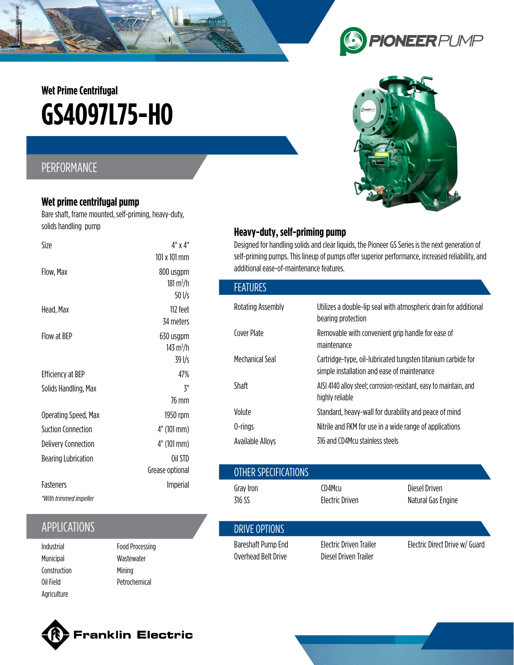# **GS4O97L75-HO Wet Prime Centrifugal**

### PERFORMANCE

#### **Wet prime centrifugal pump**

Bare shaft, frame mounted, self-priming, heavy-duty, solids handling pump

| Size                       | $4" \times 4"$                  |  |  |
|----------------------------|---------------------------------|--|--|
|                            | $101 \times 101$ mm             |  |  |
| Flow, Max                  | 800 usgpm                       |  |  |
|                            | $181 \,\mathrm{m}^3/\mathrm{h}$ |  |  |
|                            | $50$ I/s                        |  |  |
| Head, Max                  | 112 feet                        |  |  |
|                            | 34 meters                       |  |  |
| Flow at BFP                | 630 usgpm                       |  |  |
|                            | 143 m <sup>3</sup> /h           |  |  |
|                            | 39 I/s                          |  |  |
| Efficiency at BEP          | 47%                             |  |  |
| Solids Handling, Max       | ζ"                              |  |  |
|                            | 76 mm                           |  |  |
| Operating Speed, Max       | 1950 rpm                        |  |  |
| Suction Connection         | $4"$ (101 mm)                   |  |  |
| <b>Delivery Connection</b> | 4" (101 mm)                     |  |  |
| <b>Bearing Lubrication</b> | Oil STD                         |  |  |
|                            | Grease optional                 |  |  |
| <b>Fasteners</b>           | Imperial                        |  |  |
| *With trimmed impeller     |                                 |  |  |

## **APPLICATIONS**

- Municipal Construction Oil Field Agriculture
- Food Processing Wastewater Mining Petrochemical

## **Heavy-duty, self-priming pump**

Designed for handling solids and clear liquids, the Pioneer GS Series is the next generation of self-priming pumps. This lineup of pumps offer superior performance, increased reliability, and additional ease-of-maintenance features.

| <b>FEATURES</b>   |                                                                                                             |
|-------------------|-------------------------------------------------------------------------------------------------------------|
| Rotating Assembly | Utilizes a double-lip seal with atmospheric drain for additional<br>bearing protection                      |
| Cover Plate       | Removable with convenient grip handle for ease of<br>maintenance                                            |
| Mechanical Seal   | Cartridge-type, oil-lubricated tungsten titanium carbide for<br>simple installation and ease of maintenance |
| Shaft             | AISI 4140 alloy steel; corrosion-resistant, easy to maintain, and<br>highly reliable                        |
| Volute            | Standard, heavy-wall for durability and peace of mind                                                       |
| 0-rings           | Nitrile and FKM for use in a wide range of applications                                                     |
| Available Alloys  | 316 and CD4Mcu stainless steels                                                                             |

|                                            | Grease optional                             | OTHER SPECIFICATIONS                      |                                                  |                                     |  |
|--------------------------------------------|---------------------------------------------|-------------------------------------------|--------------------------------------------------|-------------------------------------|--|
| <b>Fasteners</b><br>*With trimmed impeller | Imperial                                    | Gray Iron<br>316 SS                       | CD4Mcu<br>Electric Driven                        | Diesel Driven<br>Natural Gas Engine |  |
| <b>APPLICATIONS</b>                        |                                             | DRIVE OPTIONS                             |                                                  |                                     |  |
| Industrial<br>Municinal                    | <b>Food Processing</b><br><b>Wastowator</b> | Bareshaft Pump End<br>Overhead Belt Drive | Electric Driven Trailer<br>Diesel Driven Trailer | Electric Direct Drive w/ Guard      |  |





Franklin Electric